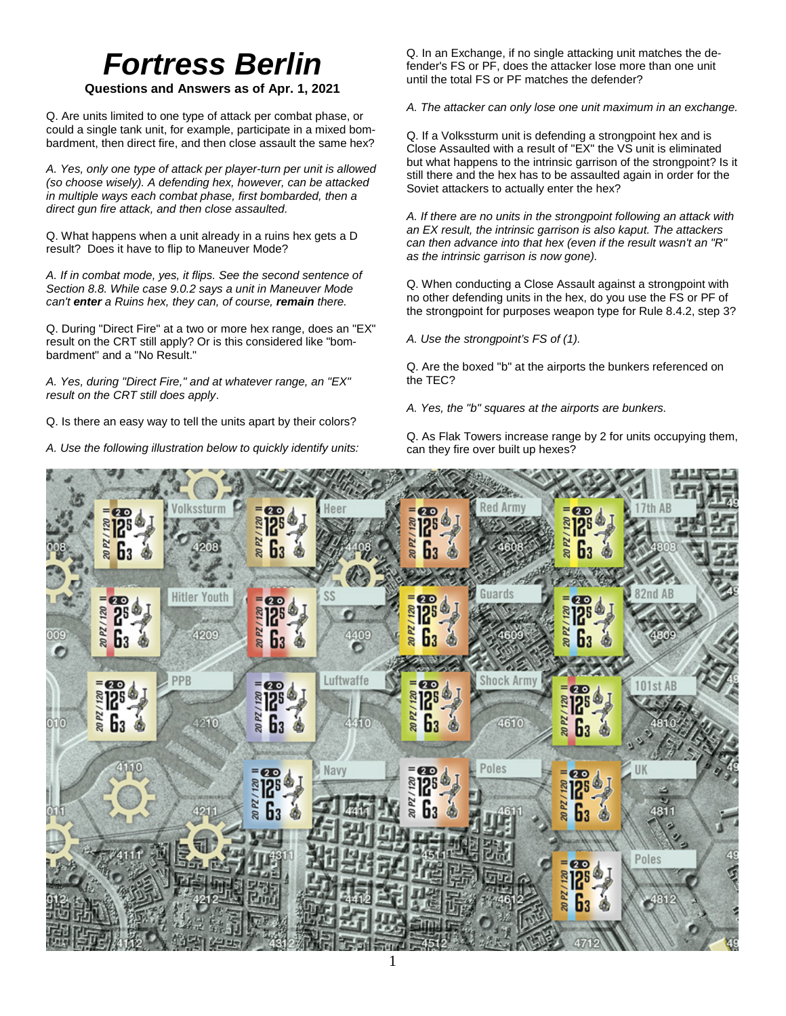# *Fortress Berlin*

## **Questions and Answers as of Apr. 1, 2021**

Q. Are units limited to one type of attack per combat phase, or could a single tank unit, for example, participate in a mixed bombardment, then direct fire, and then close assault the same hex?

*A. Yes, only one type of attack per player-turn per unit is allowed (so choose wisely). A defending hex, however, can be attacked in multiple ways each combat phase, first bombarded, then a direct gun fire attack, and then close assaulted.* 

Q. What happens when a unit already in a ruins hex gets a D result? Does it have to flip to Maneuver Mode?

*A. If in combat mode, yes, it flips. See the second sentence of Section 8.8. While case 9.0.2 says a unit in Maneuver Mode can't enter a Ruins hex, they can, of course, remain there.*

Q. During "Direct Fire" at a two or more hex range, does an "EX" result on the CRT still apply? Or is this considered like "bombardment" and a "No Result."

*A. Yes, during "Direct Fire," and at whatever range, an "EX" result on the CRT still does apply*.

Q. Is there an easy way to tell the units apart by their colors?

*A. Use the following illustration below to quickly identify units:*

Q. In an Exchange, if no single attacking unit matches the defender's FS or PF, does the attacker lose more than one unit until the total FS or PF matches the defender?

*A. The attacker can only lose one unit maximum in an exchange.*

Q. If a Volkssturm unit is defending a strongpoint hex and is Close Assaulted with a result of "EX" the VS unit is eliminated but what happens to the intrinsic garrison of the strongpoint? Is it still there and the hex has to be assaulted again in order for the Soviet attackers to actually enter the hex?

*A. If there are no units in the strongpoint following an attack with an EX result, the intrinsic garrison is also kaput. The attackers can then advance into that hex (even if the result wasn't an "R" as the intrinsic garrison is now gone).*

Q. When conducting a Close Assault against a strongpoint with no other defending units in the hex, do you use the FS or PF of the strongpoint for purposes weapon type for Rule 8.4.2, step 3?

*A. Use the strongpoint's FS of (1).*

Q. Are the boxed "b" at the airports the bunkers referenced on the TEC?

*A. Yes, the "b" squares at the airports are bunkers.*

Q. As Flak Towers increase range by 2 for units occupying them, can they fire over built up hexes?